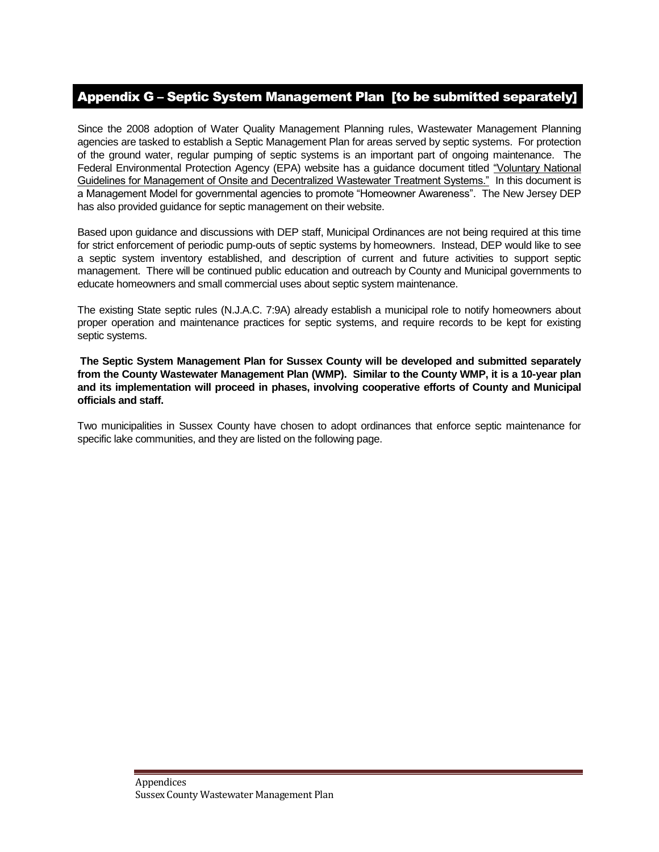## Appendix G – Septic System Management Plan [to be submitted separately]

Since the 2008 adoption of Water Quality Management Planning rules, Wastewater Management Planning agencies are tasked to establish a Septic Management Plan for areas served by septic systems. For protection of the ground water, regular pumping of septic systems is an important part of ongoing maintenance. The Federal Environmental Protection Agency (EPA) website has a guidance document titled "Voluntary National Guidelines for Management of Onsite and Decentralized Wastewater Treatment Systems." In this document is a Management Model for governmental agencies to promote "Homeowner Awareness". The New Jersey DEP has also provided guidance for septic management on their website.

Based upon guidance and discussions with DEP staff, Municipal Ordinances are not being required at this time for strict enforcement of periodic pump-outs of septic systems by homeowners. Instead, DEP would like to see a septic system inventory established, and description of current and future activities to support septic management. There will be continued public education and outreach by County and Municipal governments to educate homeowners and small commercial uses about septic system maintenance.

The existing State septic rules (N.J.A.C. 7:9A) already establish a municipal role to notify homeowners about proper operation and maintenance practices for septic systems, and require records to be kept for existing septic systems.

**The Septic System Management Plan for Sussex County will be developed and submitted separately from the County Wastewater Management Plan (WMP). Similar to the County WMP, it is a 10-year plan and its implementation will proceed in phases, involving cooperative efforts of County and Municipal officials and staff.** 

Two municipalities in Sussex County have chosen to adopt ordinances that enforce septic maintenance for specific lake communities, and they are listed on the following page.